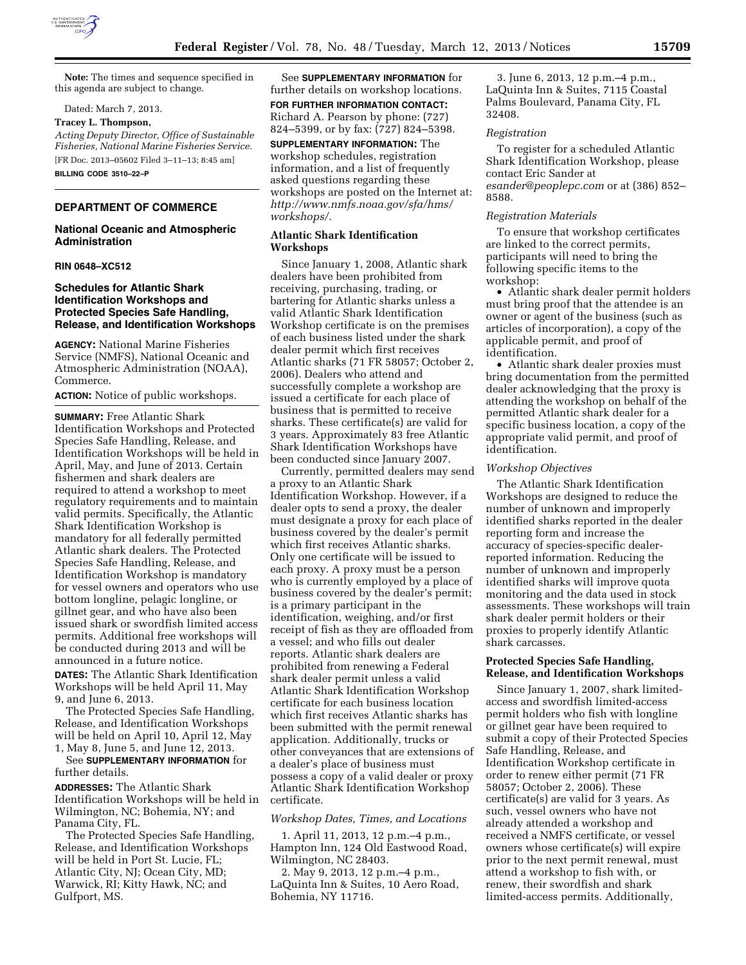

**Note:** The times and sequence specified in this agenda are subject to change.

Dated: March 7, 2013.

#### **Tracey L. Thompson,**

*Acting Deputy Director, Office of Sustainable Fisheries, National Marine Fisheries Service.*  [FR Doc. 2013–05602 Filed 3–11–13; 8:45 am] **BILLING CODE 3510–22–P** 

# **DEPARTMENT OF COMMERCE**

## **National Oceanic and Atmospheric Administration**

## **RIN 0648–XC512**

## **Schedules for Atlantic Shark Identification Workshops and Protected Species Safe Handling, Release, and Identification Workshops**

**AGENCY:** National Marine Fisheries Service (NMFS), National Oceanic and Atmospheric Administration (NOAA), Commerce.

**ACTION:** Notice of public workshops.

**SUMMARY:** Free Atlantic Shark Identification Workshops and Protected Species Safe Handling, Release, and Identification Workshops will be held in April, May, and June of 2013. Certain fishermen and shark dealers are required to attend a workshop to meet regulatory requirements and to maintain valid permits. Specifically, the Atlantic Shark Identification Workshop is mandatory for all federally permitted Atlantic shark dealers. The Protected Species Safe Handling, Release, and Identification Workshop is mandatory for vessel owners and operators who use bottom longline, pelagic longline, or gillnet gear, and who have also been issued shark or swordfish limited access permits. Additional free workshops will be conducted during 2013 and will be announced in a future notice.

**DATES:** The Atlantic Shark Identification Workshops will be held April 11, May 9, and June 6, 2013.

The Protected Species Safe Handling, Release, and Identification Workshops will be held on April 10, April 12, May 1, May 8, June 5, and June 12, 2013.

See **SUPPLEMENTARY INFORMATION** for further details.

**ADDRESSES:** The Atlantic Shark Identification Workshops will be held in Wilmington, NC; Bohemia, NY; and Panama City, FL.

The Protected Species Safe Handling, Release, and Identification Workshops will be held in Port St. Lucie, FL; Atlantic City, NJ; Ocean City, MD; Warwick, RI; Kitty Hawk, NC; and Gulfport, MS.

See **SUPPLEMENTARY INFORMATION** for further details on workshop locations. **FOR FURTHER INFORMATION CONTACT:**  Richard A. Pearson by phone: (727) 824–5399, or by fax: (727) 824–5398.

**SUPPLEMENTARY INFORMATION:** The workshop schedules, registration information, and a list of frequently asked questions regarding these workshops are posted on the Internet at: *[http://www.nmfs.noaa.gov/sfa/hms/](http://www.nmfs.noaa.gov/sfa/hms/workshops/)  [workshops/.](http://www.nmfs.noaa.gov/sfa/hms/workshops/)* 

# **Atlantic Shark Identification Workshops**

Since January 1, 2008, Atlantic shark dealers have been prohibited from receiving, purchasing, trading, or bartering for Atlantic sharks unless a valid Atlantic Shark Identification Workshop certificate is on the premises of each business listed under the shark dealer permit which first receives Atlantic sharks (71 FR 58057; October 2, 2006). Dealers who attend and successfully complete a workshop are issued a certificate for each place of business that is permitted to receive sharks. These certificate(s) are valid for 3 years. Approximately 83 free Atlantic Shark Identification Workshops have been conducted since January 2007.

Currently, permitted dealers may send a proxy to an Atlantic Shark Identification Workshop. However, if a dealer opts to send a proxy, the dealer must designate a proxy for each place of business covered by the dealer's permit which first receives Atlantic sharks. Only one certificate will be issued to each proxy. A proxy must be a person who is currently employed by a place of business covered by the dealer's permit; is a primary participant in the identification, weighing, and/or first receipt of fish as they are offloaded from a vessel; and who fills out dealer reports. Atlantic shark dealers are prohibited from renewing a Federal shark dealer permit unless a valid Atlantic Shark Identification Workshop certificate for each business location which first receives Atlantic sharks has been submitted with the permit renewal application. Additionally, trucks or other conveyances that are extensions of a dealer's place of business must possess a copy of a valid dealer or proxy Atlantic Shark Identification Workshop certificate.

### *Workshop Dates, Times, and Locations*

1. April 11, 2013, 12 p.m.–4 p.m., Hampton Inn, 124 Old Eastwood Road, Wilmington, NC 28403.

2. May 9, 2013, 12 p.m.–4 p.m., LaQuinta Inn & Suites, 10 Aero Road, Bohemia, NY 11716.

3. June 6, 2013, 12 p.m.–4 p.m., LaQuinta Inn & Suites, 7115 Coastal Palms Boulevard, Panama City, FL 32408.

### *Registration*

To register for a scheduled Atlantic Shark Identification Workshop, please contact Eric Sander at *[esander@peoplepc.com](mailto:esander@peoplepc.com)* or at (386) 852– 8588.

## *Registration Materials*

To ensure that workshop certificates are linked to the correct permits, participants will need to bring the following specific items to the workshop:

• Atlantic shark dealer permit holders must bring proof that the attendee is an owner or agent of the business (such as articles of incorporation), a copy of the applicable permit, and proof of identification.

• Atlantic shark dealer proxies must bring documentation from the permitted dealer acknowledging that the proxy is attending the workshop on behalf of the permitted Atlantic shark dealer for a specific business location, a copy of the appropriate valid permit, and proof of identification.

### *Workshop Objectives*

The Atlantic Shark Identification Workshops are designed to reduce the number of unknown and improperly identified sharks reported in the dealer reporting form and increase the accuracy of species-specific dealerreported information. Reducing the number of unknown and improperly identified sharks will improve quota monitoring and the data used in stock assessments. These workshops will train shark dealer permit holders or their proxies to properly identify Atlantic shark carcasses.

## **Protected Species Safe Handling, Release, and Identification Workshops**

Since January 1, 2007, shark limitedaccess and swordfish limited-access permit holders who fish with longline or gillnet gear have been required to submit a copy of their Protected Species Safe Handling, Release, and Identification Workshop certificate in order to renew either permit (71 FR 58057; October 2, 2006). These certificate(s) are valid for 3 years. As such, vessel owners who have not already attended a workshop and received a NMFS certificate, or vessel owners whose certificate(s) will expire prior to the next permit renewal, must attend a workshop to fish with, or renew, their swordfish and shark limited-access permits. Additionally,